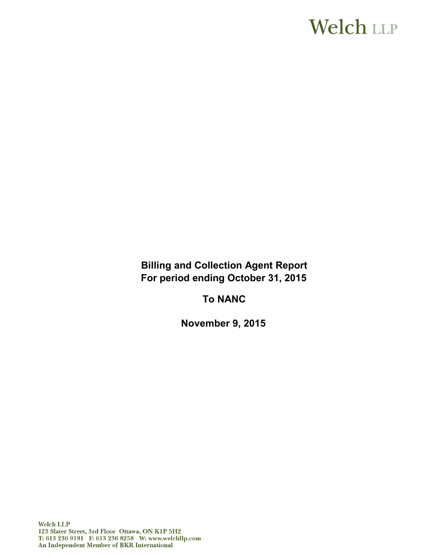# **Welch LLP**

**Billing and Collection Agent Report For period ending October 31, 2015** 

**To NANC**

**November 9, 2015**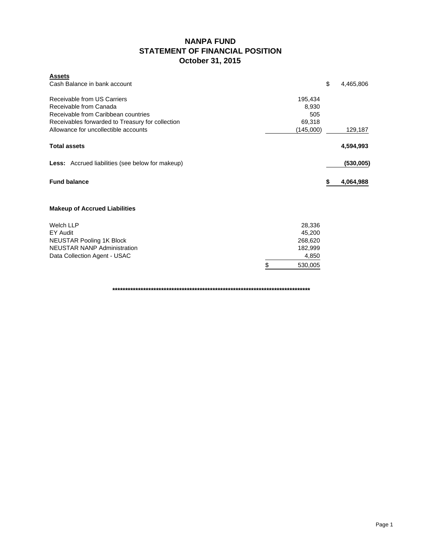### **NANPA FUND STATEMENT OF FINANCIAL POSITION October 31, 2015**

| <b>Assets</b>                                                                                                                                                                            |                                                |                    |         |           |
|------------------------------------------------------------------------------------------------------------------------------------------------------------------------------------------|------------------------------------------------|--------------------|---------|-----------|
| Cash Balance in bank account                                                                                                                                                             |                                                |                    | \$      | 4,465,806 |
| Receivable from US Carriers<br>Receivable from Canada<br>Receivable from Caribbean countries<br>Receivables forwarded to Treasury for collection<br>Allowance for uncollectible accounts | 195,434<br>8,930<br>505<br>69,318<br>(145,000) |                    | 129,187 |           |
|                                                                                                                                                                                          |                                                |                    |         |           |
| <b>Total assets</b>                                                                                                                                                                      |                                                |                    |         | 4,594,993 |
| <b>Less:</b> Accrued liabilities (see below for makeup)                                                                                                                                  |                                                |                    |         | (530,005) |
| <b>Fund balance</b>                                                                                                                                                                      |                                                |                    | S       | 4,064,988 |
| <b>Makeup of Accrued Liabilities</b>                                                                                                                                                     |                                                |                    |         |           |
| <b>Welch LLP</b>                                                                                                                                                                         |                                                | 28,336             |         |           |
| EY Audit                                                                                                                                                                                 |                                                | 45,200             |         |           |
| <b>NEUSTAR Pooling 1K Block</b><br><b>NEUSTAR NANP Administration</b>                                                                                                                    |                                                | 268,620<br>182,999 |         |           |
| Data Collection Agent - USAC                                                                                                                                                             |                                                | 4,850              |         |           |
|                                                                                                                                                                                          | \$                                             | 530,005            |         |           |

**\*\*\*\*\*\*\*\*\*\*\*\*\*\*\*\*\*\*\*\*\*\*\*\*\*\*\*\*\*\*\*\*\*\*\*\*\*\*\*\*\*\*\*\*\*\*\*\*\*\*\*\*\*\*\*\*\*\*\*\*\*\*\*\*\*\*\*\*\*\*\*\*\*\*\*\*\***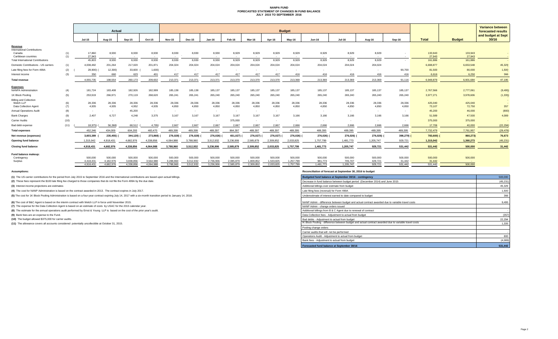#### **NANPA FUND FORECASTED STATEMENT OF CHANGES IN FUND BALANCE JULY 2015 TO SEPTEMBER 2016**

|                                          |            |                        |                        | <b>Budget</b>                     |                        |                        |                        |                           |                        |                           |                        |                        |                      |                      |                     | <b>Variance between</b> |                   |                                          |           |
|------------------------------------------|------------|------------------------|------------------------|-----------------------------------|------------------------|------------------------|------------------------|---------------------------|------------------------|---------------------------|------------------------|------------------------|----------------------|----------------------|---------------------|-------------------------|-------------------|------------------------------------------|-----------|
|                                          |            | Actual                 |                        |                                   |                        |                        |                        |                           |                        |                           |                        |                        |                      |                      |                     |                         |                   | forecasted results<br>and budget at Sept |           |
|                                          |            | <b>Jul-15</b>          | Aug-15                 | Sep-15                            | Oct-15                 | <b>Nov-15</b>          | <b>Dec-15</b>          | $Jan-16$                  | Feb-16                 | Mar-16                    | Apr-16                 | Mav-16                 | <b>Jun-16</b>        | <b>Jul-16</b>        | Aug-16              | Sep-16                  | <b>Total</b>      | <b>Budget</b>                            | 30/16     |
| Revenue                                  |            |                        |                        |                                   |                        |                        |                        |                           |                        |                           |                        |                        |                      |                      |                     |                         |                   |                                          |           |
| <b>International Contributions</b>       |            |                        |                        |                                   |                        |                        |                        |                           |                        |                           |                        |                        |                      |                      |                     |                         |                   |                                          |           |
| Canada<br>Caribbean countries            | (1)<br>(1) | 17,860<br>27.943       | 8,930<br>$\sim$        | 8,930<br><b>Contract Contract</b> | 8,930<br>$\sim$        | 8,930<br>$\sim 100$    | 8,930                  | 8,930<br>$\sim$ 100 $\pm$ | 8,929<br>$\sim$        | 8,929<br>$\sim$ 100 $\mu$ | 8,929<br>$\sim 100$    | 8,929<br>$\sim 100$    | 8,929<br>$\sim 100$  | 8,929<br>$\sim$      | 8,929<br>$\sim 100$ | $\sim$                  | 133,943<br>27,943 | 133,943<br>27,943                        |           |
| <b>Total International Contributions</b> |            | 45,803                 | 8.930                  | 8,930                             | 8,930                  | 8,930                  | 8.930                  | 8,930                     | 8.929                  | 8,929                     | 8.929                  | 8,929                  | 8.929                | 8.929                | 8.929               | $\sim$                  | 161.886           | 161,886                                  |           |
| Domestic Contributions - US carriers     | (1)        | 4,038,482              | 201,264                | 217,020                           | 201,871                | 204,024                | 204,024                | 204,024                   | 204,024                | 204,024                   | 204,024                | 204,024                | 204,024              | 204,024              | 204,024             |                         | 6.698.877         | 6,653,548                                | 45,329    |
| Late filing fees for Form 499A           | (2)        | 28,900)                | 12,300)                | 33,600                            | 1,600                  | $\sim$                 |                        |                           |                        |                           |                        |                        |                      |                      |                     | 90,700                  | 81,500            | 80,000                                   | 1,500     |
| Interest income                          | (3)        | 350                    | 660                    | 623                               | 401                    | 417                    | 417                    | 417                       | 417                    | 417                       | 417                    | 416                    | 416                  | 416                  | 416                 | 416                     | 6,616             | 6,250                                    | 366       |
| <b>Total revenue</b>                     |            | 4.055.735              | 198,554                | 260,173                           | 209,602                | 213,371                | 213,371                | 213,371                   | 213,370                | 213,370                   | 213,370                | 213,369                | 213,369              | 213,369              | 213,369             | 91.116                  | 6,948,879         | 6.901.684                                | 47,195    |
| <b>Expenses</b>                          |            |                        |                        |                                   |                        |                        |                        |                           |                        |                           |                        |                        |                      |                      |                     |                         |                   |                                          |           |
| <b>NANPA Administration</b>              | (4)        | 181,724                | 183,408                | 182,926                           | 182,999                | 185,138                | 185,138                | 185,137                   | 185,137                | 185,137                   | 185,137                | 185,137                | 185,137              | 185,137              | 185,137             | 185,137                 | 2,767,566         | 2,777,061                                | (9, 495)  |
| 1K Block Pooling                         | (5)        | 253,919                | 266,971                | 270,119                           | 268,620                | 265,241                | 265,241                | 265,240                   | 265,240                | 265,240                   | 265,240                | 265,240                | 265,240              | 265,240              | 265,240             | 265,240                 | 3,977,271         | 3,978,606                                | (1, 335)  |
| <b>Billing and Collection</b>            |            |                        |                        |                                   |                        |                        |                        |                           |                        |                           |                        |                        |                      |                      |                     |                         |                   |                                          |           |
| Welch LLP<br>Data Collection Agent       | (6)<br>(7) | 28,336<br>4,935        | 28,336<br>4,935        | 28,336<br>4,952                   | 28,336<br>4.935        | 28,336<br>4,850        | 28,336<br>4,850        | 28,336<br>4,850           | 28,336<br>4,850        | 28,336<br>4,850           | 28,336<br>4,850        | 28,336<br>4,850        | 28,336<br>4.850      | 28,336<br>4.850      | 28,336<br>4.850     | 28,336<br>4.850         | 425,040<br>73,107 | 425,040<br>72,750                        | 357       |
| <b>Annual Operations Audit</b>           | (8)        | $\sim$                 | $\sim$                 | 45,200                            | $\sim$                 | $\sim$ $-$             | $\sim$ $-$             | $\sim$                    | $\sim$                 | $\sim$                    | $\sim$                 |                        | $\sim$               |                      | $\sim$              | $\sim$                  | 45,200            | 46,000                                   | (800)     |
| <b>Bank Charges</b>                      | (9)        | 2.407                  | 6,727                  | 4,248                             | 3.375                  | 3,167                  | 3.167                  | 3.167                     | 3.167                  | 3,167                     | 3.167                  | 3.166                  | 3.166                | 3,166                | 3.166               | 3.166                   | 51,589            | 47,500                                   | 4,089     |
| Carrier Audits                           | (10)       | $\sim$                 | $\sim$                 | $\sim$                            | $\sim$                 | $\sim$                 | $\sim$                 |                           | 375,000                | $\sim$                    |                        |                        |                      |                      |                     |                         | 375,000           | 375,000                                  |           |
| Bad debt expense                         | (11)       | 18.975)                | 56,368)                | 68,512                            | 4,795)                 | 2,667                  | 2,667                  | 2,667                     | 2,667                  | 2,667                     | 2,667                  | 2,666                  | 2.666                | 2.666                | 2,666               | 2.666                   | 17,706            | 40,000                                   | (22, 294) |
| <b>Total expenses</b>                    |            | 452.346                | 434,009                | 604,293                           | 483,470                | 489,399                | 489,399                | 489,397                   | 864,397                | 489,397                   | 489,397                | 489,395                | 489,395              | 489,395              | 489,395             | 489,395                 | 7,732,479         | 7,761,957                                | (29, 478) |
| Net revenue (expenses)                   |            | 3,603,389              | 235,455)               | 344,120)                          | 273,868)               | 276,028)               | 276,028)               | 276,026)                  | 651,027)               | 276,027)                  | 276,027)               | 276,026) (             | 276,026)             | 276,026)             | 276,026)            | 398,279)                | 783,600) (        | 860,273)                                 | 76,673    |
| <b>Opening fund balance</b>              |            | 1,315,042              | 4.918.431              | 4.682.976                         | 4.338.856              | 4,064,988              | 3,788,960              | 3,512,932                 | 3.236.906              | 2,585,879                 | 2.309.852              | 2,033,825              | 1,757,799            | 1,481,773            | 1,205,747           | 929,721                 | 1,315,042         | 1,360,273                                | (45, 231) |
|                                          |            |                        |                        |                                   |                        |                        |                        |                           |                        |                           |                        |                        |                      |                      |                     |                         |                   |                                          |           |
| <b>Closing fund balance</b>              |            | 4.918.431              | 4,682,976              | 4.338.856                         | 4.064.988              | 3,788,960              | 3,512,932              | 3,236,906                 | 2,585,879              | 2,309,852                 | 2,033,825              | 1,757,799              | 1,481,773            | 1.205.747            | 929.721             | 531.442                 | 531,442           | 500.000                                  | 31,442    |
| Fund balance makeup:                     |            |                        |                        |                                   |                        |                        |                        |                           |                        |                           |                        |                        |                      |                      |                     |                         |                   |                                          |           |
| Contingency                              |            | 500,000                | 500,000                | 500,000                           | 500,000                | 500,000                | 500,000                | 500,000                   | 500,000                | 500,000                   | 500,000                | 500,000                | 500,000              | 500,000              | 500,000             | 500,000                 | 500,000           | 500,000                                  |           |
| Surplus                                  |            | 4.418.431<br>4.918.431 | 4.182.976<br>4.682.976 | 3.838.856<br>4.338.856            | 3.564.988<br>4.064.988 | 3.288.960<br>3.788.960 | 3,012,932<br>3.512.932 | 2.736.906<br>3.236.906    | 2.085.879<br>2.585.879 | 1.809.852<br>2.309.852    | 1.533.825<br>2.033.825 | 1,257,799<br>1.757.799 | 981.773<br>1.481.773 | 705.747<br>1.205.747 | 429,721<br>929,721  | 31.442<br>531.442       | 31,442<br>531.442 | 500,000                                  |           |

**(1)** The US carrier contributions for the period from July 2015 to September 2016 and the International contributions are based upon actual billings.

(2) These fees represent the \$100 late filing fee charged to those companies that do not file the Form 499A by the due date.

**(3)** Interest income projections are estimates

**(4)** The cost for NANP Administration is based on the contract awarded in 2013. The contract expires in July 2017.

(5) The cost for 1K Block Pooling Administration is based on a four-year contract expiring July 14, 2017 with a six-month transition period to January 14, 2018.

**(6)** The cost of B&C Agent is based on the interim contract with Welch LLP in force until November 2015.

**(7)** The expense for the Data Collection Agent is based on an estimate of costs by USAC for the 2015 calendar year.

**(8)** The estimate for the annual operations audit performed by Ernst & Young LLP is based on the cost of the prior year's audit.

**(9)** Bank fees are an expense to the Fund.

**(10)** The budget allowed \$375,000 for carrier audits.

**(11)** The allowance covers all accounts considered potentially uncollectible at October 31, 2015.

**Assumptions: Reconciliation of forecast at September 30, 2016 to budget**

| Budgeted fund balance at September 30/16 - contingency                                                | 500,000   |
|-------------------------------------------------------------------------------------------------------|-----------|
| Decrease in fund balance between budget period (December 2014) and June 2015                          | (45, 231) |
| Additional billings over estimate from budget                                                         | 45,329    |
| Late filing fees (reversal) for Form 499A                                                             | 1,500     |
| Underestimate of interest earned to date compared to budget                                           | 366       |
| NANP Admin - difference between budget and actual contract awarded due to variable travel costs       | 9.495     |
| NANP Admin - change orders issued                                                                     |           |
| Additional billings from B & C Agent due to renewal of contract                                       |           |
| Data Collection fees - Adjustment to actual from budget                                               | (357)     |
| Bad debts - Adjustment to actual from budget                                                          | 22,294    |
| IK Block Pooling - difference between budget and actual contract awarded due to variable travel costs | 1.335     |
| Pooling change orders                                                                                 |           |
| Carrier audits that will not be performed                                                             |           |
| Operations Audit - Adjustment to actual from budget                                                   | 800       |
| Bank fees - Adjustment to actual from budget                                                          | (4,089)   |
| Forecasted fund balance at September 30/16                                                            | 531,442   |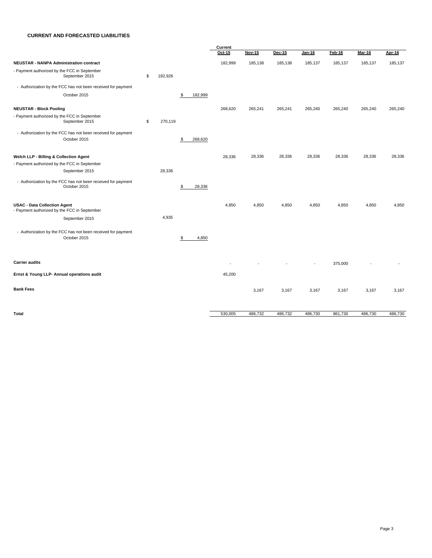#### **CURRENT AND FORECASTED LIABILITIES**

|                                                                                     |    |         |               | Current |               |         |                          |         |         |         |  |  |
|-------------------------------------------------------------------------------------|----|---------|---------------|---------|---------------|---------|--------------------------|---------|---------|---------|--|--|
|                                                                                     |    |         |               | Oct-15  | <b>Nov-15</b> | Dec-15  | <b>Jan-16</b>            | Feb-16  | Mar-16  | Apr-16  |  |  |
| <b>NEUSTAR - NANPA Administration contract</b>                                      |    |         |               | 182,999 | 185,138       | 185,138 | 185,137                  | 185,137 | 185,137 | 185,137 |  |  |
| - Payment authorized by the FCC in September<br>September 2015                      | \$ | 182,926 |               |         |               |         |                          |         |         |         |  |  |
| - Authorization by the FCC has not been received for payment                        |    |         |               |         |               |         |                          |         |         |         |  |  |
| October 2015                                                                        |    |         | 182,999<br>\$ |         |               |         |                          |         |         |         |  |  |
| <b>NEUSTAR - Block Pooling</b>                                                      |    |         |               | 268,620 | 265,241       | 265,241 | 265,240                  | 265,240 | 265,240 | 265,240 |  |  |
| - Payment authorized by the FCC in September<br>September 2015                      | \$ | 270,119 |               |         |               |         |                          |         |         |         |  |  |
| - Authorization by the FCC has not been received for payment<br>October 2015        |    |         | 268,620<br>S  |         |               |         |                          |         |         |         |  |  |
| Welch LLP - Billing & Collection Agent                                              |    |         |               | 28,336  | 28,336        | 28,336  | 28,336                   | 28,336  | 28,336  | 28,336  |  |  |
| - Payment authorized by the FCC in September                                        |    |         |               |         |               |         |                          |         |         |         |  |  |
| September 2015                                                                      |    | 28,336  |               |         |               |         |                          |         |         |         |  |  |
| - Authorization by the FCC has not been received for payment<br>October 2015        |    |         | \$<br>28,336  |         |               |         |                          |         |         |         |  |  |
| <b>USAC - Data Collection Agent</b><br>- Payment authorized by the FCC in September |    |         |               | 4,850   | 4,850         | 4,850   | 4,850                    | 4,850   | 4,850   | 4,850   |  |  |
| September 2015                                                                      |    | 4,935   |               |         |               |         |                          |         |         |         |  |  |
| - Authorization by the FCC has not been received for payment<br>October 2015        |    |         | 4,850<br>\$   |         |               |         |                          |         |         |         |  |  |
| <b>Carrier audits</b>                                                               |    |         |               |         |               |         | $\overline{\phantom{a}}$ | 375,000 |         |         |  |  |
| Ernst & Young LLP- Annual operations audit                                          |    |         |               | 45,200  |               |         |                          |         |         |         |  |  |
| <b>Bank Fees</b>                                                                    |    |         |               |         | 3,167         | 3,167   | 3,167                    | 3,167   | 3,167   | 3,167   |  |  |
| Total                                                                               |    |         |               | 530,005 | 486,732       | 486,732 | 486,730                  | 861,730 | 486,730 | 486,730 |  |  |